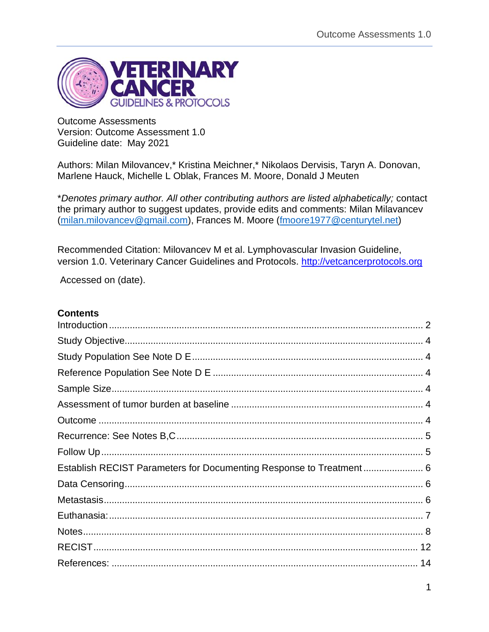

Outcome Assessments Version: Outcome Assessment 1.0 Guideline date: May 2021

Authors: Milan Milovancev,\* Kristina Meichner,\* Nikolaos Dervisis, Taryn A. Donovan, Marlene Hauck, Michelle L Oblak, Frances M. Moore, Donald J Meuten

\**Denotes primary author. All other contributing authors are listed alphabetically;* contact the primary author to suggest updates, provide edits and comments: Milan Milavancev [\(milan.milovancev@gmail.com\)](mailto:milan.milovancev@gmail.com), Frances M. Moore [\(fmoore1977@centurytel.net\)](mailto:fmoore1977@centurytel.net)

Recommended Citation: Milovancev M et al. Lymphovascular Invasion Guideline, version 1.0. Veterinary Cancer Guidelines and Protocols. [http://vetcancerprotocols.org](http://vetcancerprotocols.org/)

Accessed on (date).

## **Contents**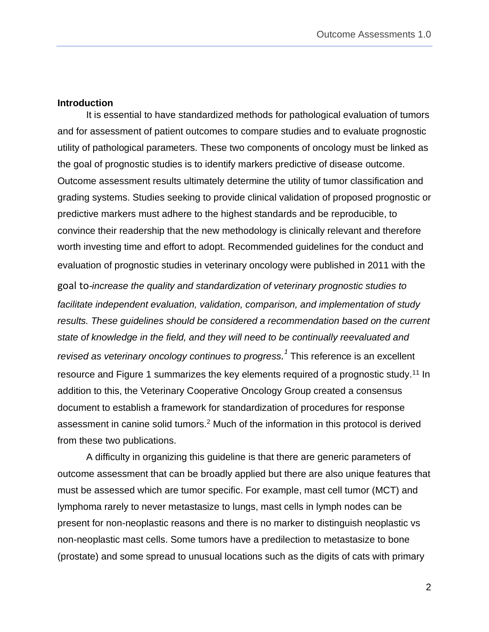#### <span id="page-1-0"></span>**Introduction**

It is essential to have standardized methods for pathological evaluation of tumors and for assessment of patient outcomes to compare studies and to evaluate prognostic utility of pathological parameters. These two components of oncology must be linked as the goal of prognostic studies is to identify markers predictive of disease outcome. Outcome assessment results ultimately determine the utility of tumor classification and grading systems. Studies seeking to provide clinical validation of proposed prognostic or predictive markers must adhere to the highest standards and be reproducible, to convince their readership that the new methodology is clinically relevant and therefore worth investing time and effort to adopt. Recommended guidelines for the conduct and evaluation of prognostic studies in veterinary oncology were published in 2011 with the goal to*-increase the quality and standardization of veterinary prognostic studies to facilitate independent evaluation, validation, comparison, and implementation of study results. These guidelines should be considered a recommendation based on the current state of knowledge in the field, and they will need to be continually reevaluated and revised as veterinary oncology continues to progress. 1* This reference is an excellent resource and Figure 1 summarizes the key elements required of a prognostic study.<sup>11</sup> In addition to this, the Veterinary Cooperative Oncology Group created a consensus document to establish a framework for standardization of procedures for response assessment in canine solid tumors.<sup>2</sup> Much of the information in this protocol is derived from these two publications.

A difficulty in organizing this guideline is that there are generic parameters of outcome assessment that can be broadly applied but there are also unique features that must be assessed which are tumor specific. For example, mast cell tumor (MCT) and lymphoma rarely to never metastasize to lungs, mast cells in lymph nodes can be present for non-neoplastic reasons and there is no marker to distinguish neoplastic vs non-neoplastic mast cells. Some tumors have a predilection to metastasize to bone (prostate) and some spread to unusual locations such as the digits of cats with primary

2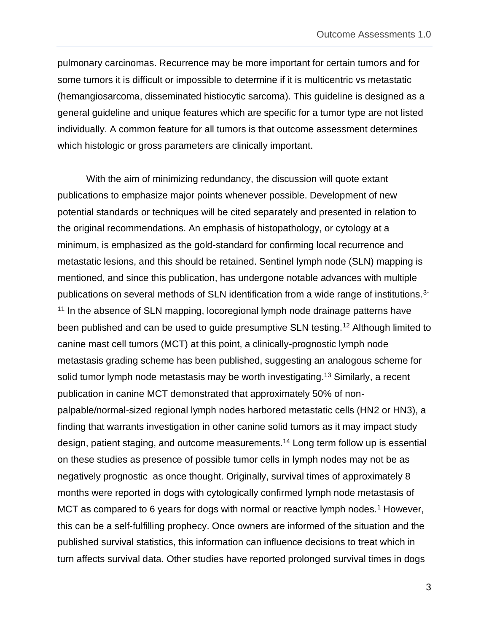pulmonary carcinomas. Recurrence may be more important for certain tumors and for some tumors it is difficult or impossible to determine if it is multicentric vs metastatic (hemangiosarcoma, disseminated histiocytic sarcoma). This guideline is designed as a general guideline and unique features which are specific for a tumor type are not listed individually. A common feature for all tumors is that outcome assessment determines which histologic or gross parameters are clinically important.

With the aim of minimizing redundancy, the discussion will quote extant publications to emphasize major points whenever possible. Development of new potential standards or techniques will be cited separately and presented in relation to the original recommendations. An emphasis of histopathology, or cytology at a minimum, is emphasized as the gold-standard for confirming local recurrence and metastatic lesions, and this should be retained. Sentinel lymph node (SLN) mapping is mentioned, and since this publication, has undergone notable advances with multiple publications on several methods of SLN identification from a wide range of institutions.3- <sup>11</sup> In the absence of SLN mapping, locoregional lymph node drainage patterns have been published and can be used to quide presumptive SLN testing.<sup>12</sup> Although limited to canine mast cell tumors (MCT) at this point, a clinically-prognostic lymph node metastasis grading scheme has been published, suggesting an analogous scheme for solid tumor lymph node metastasis may be worth investigating.<sup>13</sup> Similarly, a recent publication in canine MCT demonstrated that approximately 50% of nonpalpable/normal-sized regional lymph nodes harbored metastatic cells (HN2 or HN3), a finding that warrants investigation in other canine solid tumors as it may impact study design, patient staging, and outcome measurements.<sup>14</sup> Long term follow up is essential on these studies as presence of possible tumor cells in lymph nodes may not be as negatively prognostic as once thought. Originally, survival times of approximately 8 months were reported in dogs with cytologically confirmed lymph node metastasis of MCT as compared to 6 years for dogs with normal or reactive lymph nodes.<sup>1</sup> However, this can be a self-fulfilling prophecy. Once owners are informed of the situation and the published survival statistics, this information can influence decisions to treat which in turn affects survival data. Other studies have reported prolonged survival times in dogs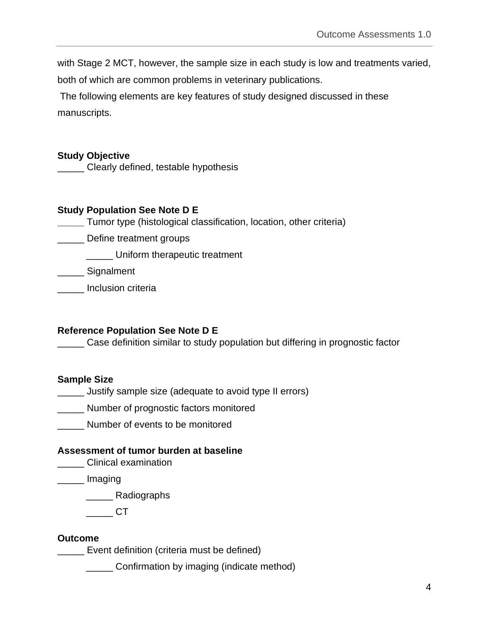with Stage 2 MCT, however, the sample size in each study is low and treatments varied,

both of which are common problems in veterinary publications.

The following elements are key features of study designed discussed in these manuscripts.

## <span id="page-3-0"></span>**Study Objective**

\_\_\_\_\_ Clearly defined, testable hypothesis

## <span id="page-3-1"></span>**Study Population See Note D E**

- **\_\_\_\_\_** Tumor type (histological classification, location, other criteria)
- \_\_\_\_\_ Define treatment groups

\_\_\_\_\_ Uniform therapeutic treatment

\_\_\_\_\_\_ Signalment

\_\_\_\_\_ Inclusion criteria

# <span id="page-3-2"></span>**Reference Population See Note D E**

\_\_\_\_\_ Case definition similar to study population but differing in prognostic factor

# <span id="page-3-3"></span>**Sample Size**

- \_\_\_\_\_ Justify sample size (adequate to avoid type II errors)
- **\_\_\_\_\_** Number of prognostic factors monitored
- \_\_\_\_\_ Number of events to be monitored

# <span id="page-3-4"></span>**Assessment of tumor burden at baseline**

**Letter** Clinical examination

\_\_\_\_\_ Imaging

\_\_\_\_\_ Radiographs

\_\_\_\_\_ CT

# <span id="page-3-5"></span>**Outcome**

\_\_\_\_\_ Event definition (criteria must be defined)

\_\_\_\_\_ Confirmation by imaging (indicate method)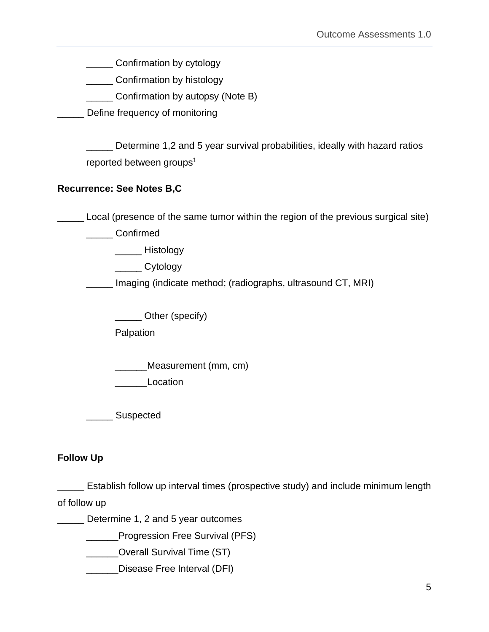**\_\_\_\_\_** Confirmation by cytology

**\_\_\_\_\_\_** Confirmation by histology

\_\_\_\_\_ Confirmation by autopsy (Note B)

**LECT** Define frequency of monitoring

\_\_\_\_\_ Determine 1,2 and 5 year survival probabilities, ideally with hazard ratios reported between groups<sup>1</sup>

# <span id="page-4-0"></span>**Recurrence: See Notes B,C**

\_\_\_\_\_ Local (presence of the same tumor within the region of the previous surgical site)

\_\_\_\_\_ Confirmed

\_\_\_\_\_ Histology

\_\_\_\_\_ Cytology

\_\_\_\_\_ Imaging (indicate method; (radiographs, ultrasound CT, MRI)

\_\_\_\_\_ Other (specify)

Palpation

\_\_\_\_\_\_Measurement (mm, cm)

Location

\_\_\_\_\_ Suspected

# <span id="page-4-1"></span>**Follow Up**

\_\_\_\_\_ Establish follow up interval times (prospective study) and include minimum length of follow up

Determine 1, 2 and 5 year outcomes

**Example 25 Progression Free Survival (PFS)** 

\_\_\_\_\_\_Overall Survival Time (ST)

\_\_\_\_\_\_Disease Free Interval (DFI)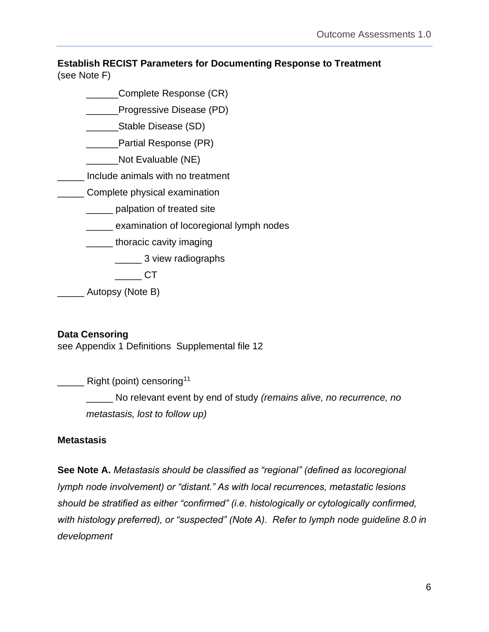### <span id="page-5-0"></span>**Establish RECIST Parameters for Documenting Response to Treatment**  (see Note F)

- \_\_\_\_\_\_Complete Response (CR)
- Progressive Disease (PD)
- \_\_\_\_\_\_Stable Disease (SD)
- **Example 21 Partial Response (PR)**
- Not Evaluable (NE)
- \_\_\_\_\_ Include animals with no treatment
- **Complete physical examination** 
	- **\_\_\_\_\_** palpation of treated site
	- \_\_\_\_\_ examination of locoregional lymph nodes
	- thoracic cavity imaging
		- **2008** 3 view radiographs
		- $C$ T
- Autopsy (Note B)

# <span id="page-5-1"></span>**Data Censoring**

see Appendix 1 Definitions Supplemental file 12

**Example 21** Right (point) censoring<sup>11</sup>

\_\_\_\_\_ No relevant event by end of study *(remains alive, no recurrence, no metastasis, lost to follow up)*

### <span id="page-5-2"></span>**Metastasis**

**See Note A.** *Metastasis should be classified as "regional" (defined as locoregional lymph node involvement) or "distant." As with local recurrences, metastatic lesions should be stratified as either "confirmed" (i.e. histologically or cytologically confirmed, with histology preferred), or "suspected" (Note A). Refer to lymph node guideline 8.0 in development*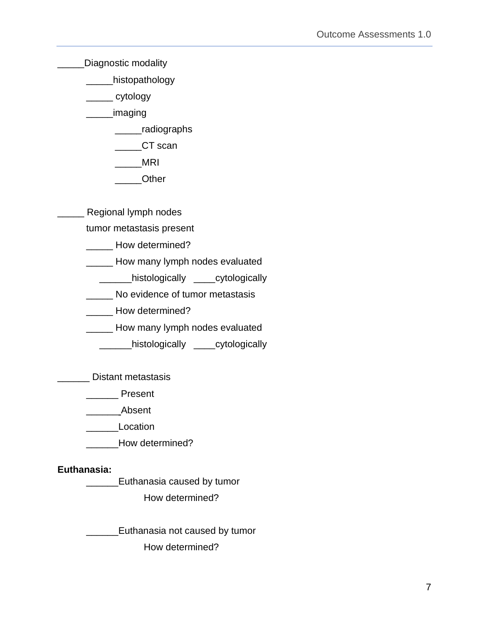Diagnostic modality

\_\_\_\_\_histopathology

\_\_\_\_\_ cytology

\_\_\_\_\_imaging

\_\_\_\_\_radiographs

CT scan

\_\_\_\_\_MRI

\_\_\_\_\_Other

\_\_\_\_\_ Regional lymph nodes

tumor metastasis present

\_\_\_\_\_ How determined?

**LETT** How many lymph nodes evaluated

\_\_\_\_\_\_histologically \_\_\_\_cytologically

\_\_\_\_\_ No evidence of tumor metastasis

\_\_\_\_\_ How determined?

\_\_\_\_\_ How many lymph nodes evaluated

\_\_\_\_\_\_histologically \_\_\_\_cytologically

\_\_\_\_\_\_ Distant metastasis

\_\_\_\_\_\_ Present

\_\_\_\_\_\_ Absent

\_\_\_\_\_\_Location

How determined?

# <span id="page-6-0"></span>**Euthanasia:**

\_\_\_\_\_\_Euthanasia caused by tumor

How determined?

**Euthanasia not caused by tumor** 

How determined?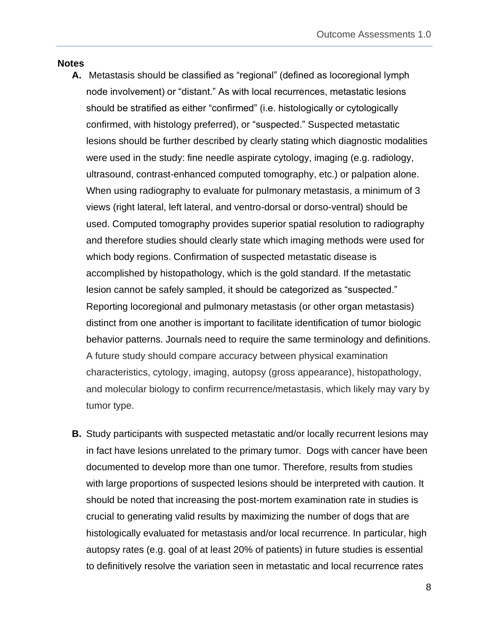### <span id="page-7-0"></span>**Notes**

- **A.** Metastasis should be classified as "regional" (defined as locoregional lymph node involvement) or "distant." As with local recurrences, metastatic lesions should be stratified as either "confirmed" (i.e. histologically or cytologically confirmed, with histology preferred), or "suspected." Suspected metastatic lesions should be further described by clearly stating which diagnostic modalities were used in the study: fine needle aspirate cytology, imaging (e.g. radiology, ultrasound, contrast-enhanced computed tomography, etc.) or palpation alone. When using radiography to evaluate for pulmonary metastasis, a minimum of 3 views (right lateral, left lateral, and ventro-dorsal or dorso-ventral) should be used. Computed tomography provides superior spatial resolution to radiography and therefore studies should clearly state which imaging methods were used for which body regions. Confirmation of suspected metastatic disease is accomplished by histopathology, which is the gold standard. If the metastatic lesion cannot be safely sampled, it should be categorized as "suspected." Reporting locoregional and pulmonary metastasis (or other organ metastasis) distinct from one another is important to facilitate identification of tumor biologic behavior patterns. Journals need to require the same terminology and definitions. A future study should compare accuracy between physical examination characteristics, cytology, imaging, autopsy (gross appearance), histopathology, and molecular biology to confirm recurrence/metastasis, which likely may vary by tumor type.
- **B.** Study participants with suspected metastatic and/or locally recurrent lesions may in fact have lesions unrelated to the primary tumor. Dogs with cancer have been documented to develop more than one tumor. Therefore, results from studies with large proportions of suspected lesions should be interpreted with caution. It should be noted that increasing the post-mortem examination rate in studies is crucial to generating valid results by maximizing the number of dogs that are histologically evaluated for metastasis and/or local recurrence. In particular, high autopsy rates (e.g. goal of at least 20% of patients) in future studies is essential to definitively resolve the variation seen in metastatic and local recurrence rates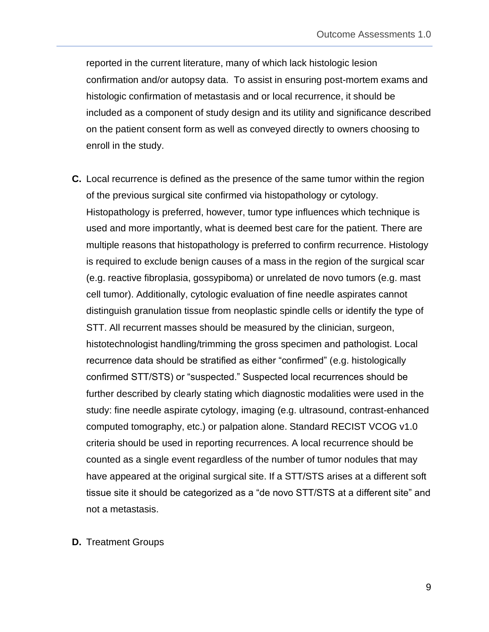reported in the current literature, many of which lack histologic lesion confirmation and/or autopsy data. To assist in ensuring post-mortem exams and histologic confirmation of metastasis and or local recurrence, it should be included as a component of study design and its utility and significance described on the patient consent form as well as conveyed directly to owners choosing to enroll in the study.

- **C.** Local recurrence is defined as the presence of the same tumor within the region of the previous surgical site confirmed via histopathology or cytology. Histopathology is preferred, however, tumor type influences which technique is used and more importantly, what is deemed best care for the patient. There are multiple reasons that histopathology is preferred to confirm recurrence. Histology is required to exclude benign causes of a mass in the region of the surgical scar (e.g. reactive fibroplasia, gossypiboma) or unrelated de novo tumors (e.g. mast cell tumor). Additionally, cytologic evaluation of fine needle aspirates cannot distinguish granulation tissue from neoplastic spindle cells or identify the type of STT. All recurrent masses should be measured by the clinician, surgeon, histotechnologist handling/trimming the gross specimen and pathologist. Local recurrence data should be stratified as either "confirmed" (e.g. histologically confirmed STT/STS) or "suspected." Suspected local recurrences should be further described by clearly stating which diagnostic modalities were used in the study: fine needle aspirate cytology, imaging (e.g. ultrasound, contrast-enhanced computed tomography, etc.) or palpation alone. Standard RECIST VCOG v1.0 criteria should be used in reporting recurrences. A local recurrence should be counted as a single event regardless of the number of tumor nodules that may have appeared at the original surgical site. If a STT/STS arises at a different soft tissue site it should be categorized as a "de novo STT/STS at a different site" and not a metastasis.
- **D.** Treatment Groups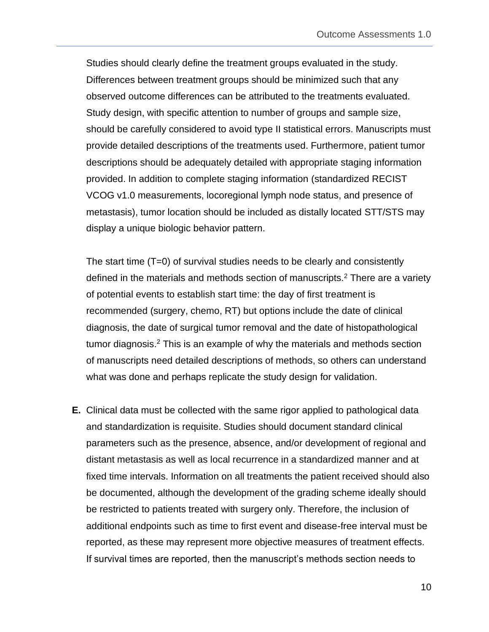Studies should clearly define the treatment groups evaluated in the study. Differences between treatment groups should be minimized such that any observed outcome differences can be attributed to the treatments evaluated. Study design, with specific attention to number of groups and sample size, should be carefully considered to avoid type II statistical errors. Manuscripts must provide detailed descriptions of the treatments used. Furthermore, patient tumor descriptions should be adequately detailed with appropriate staging information provided. In addition to complete staging information (standardized RECIST VCOG v1.0 measurements, locoregional lymph node status, and presence of metastasis), tumor location should be included as distally located STT/STS may display a unique biologic behavior pattern.

The start time (T=0) of survival studies needs to be clearly and consistently defined in the materials and methods section of manuscripts.<sup>2</sup> There are a variety of potential events to establish start time: the day of first treatment is recommended (surgery, chemo, RT) but options include the date of clinical diagnosis, the date of surgical tumor removal and the date of histopathological tumor diagnosis.<sup>2</sup> This is an example of why the materials and methods section of manuscripts need detailed descriptions of methods, so others can understand what was done and perhaps replicate the study design for validation.

**E.** Clinical data must be collected with the same rigor applied to pathological data and standardization is requisite. Studies should document standard clinical parameters such as the presence, absence, and/or development of regional and distant metastasis as well as local recurrence in a standardized manner and at fixed time intervals. Information on all treatments the patient received should also be documented, although the development of the grading scheme ideally should be restricted to patients treated with surgery only. Therefore, the inclusion of additional endpoints such as time to first event and disease-free interval must be reported, as these may represent more objective measures of treatment effects. If survival times are reported, then the manuscript's methods section needs to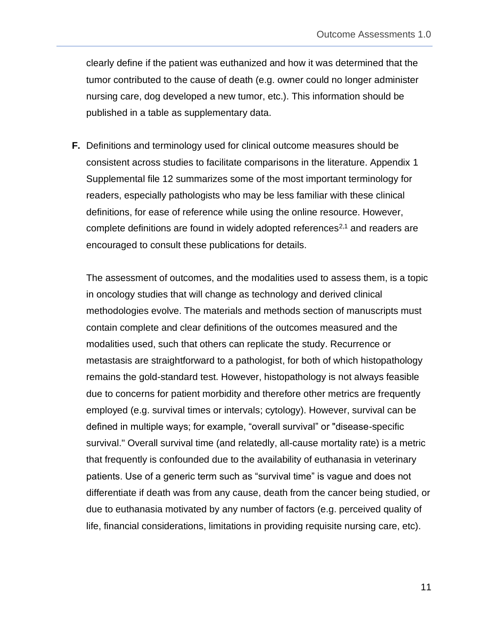clearly define if the patient was euthanized and how it was determined that the tumor contributed to the cause of death (e.g. owner could no longer administer nursing care, dog developed a new tumor, etc.). This information should be published in a table as supplementary data.

**F.** Definitions and terminology used for clinical outcome measures should be consistent across studies to facilitate comparisons in the literature. Appendix 1 Supplemental file 12 summarizes some of the most important terminology for readers, especially pathologists who may be less familiar with these clinical definitions, for ease of reference while using the online resource. However, complete definitions are found in widely adopted references<sup>2,1</sup> and readers are encouraged to consult these publications for details.

The assessment of outcomes, and the modalities used to assess them, is a topic in oncology studies that will change as technology and derived clinical methodologies evolve. The materials and methods section of manuscripts must contain complete and clear definitions of the outcomes measured and the modalities used, such that others can replicate the study. Recurrence or metastasis are straightforward to a pathologist, for both of which histopathology remains the gold-standard test. However, histopathology is not always feasible due to concerns for patient morbidity and therefore other metrics are frequently employed (e.g. survival times or intervals; cytology). However, survival can be defined in multiple ways; for example, "overall survival" or "disease-specific survival." Overall survival time (and relatedly, all-cause mortality rate) is a metric that frequently is confounded due to the availability of euthanasia in veterinary patients. Use of a generic term such as "survival time" is vague and does not differentiate if death was from any cause, death from the cancer being studied, or due to euthanasia motivated by any number of factors (e.g. perceived quality of life, financial considerations, limitations in providing requisite nursing care, etc).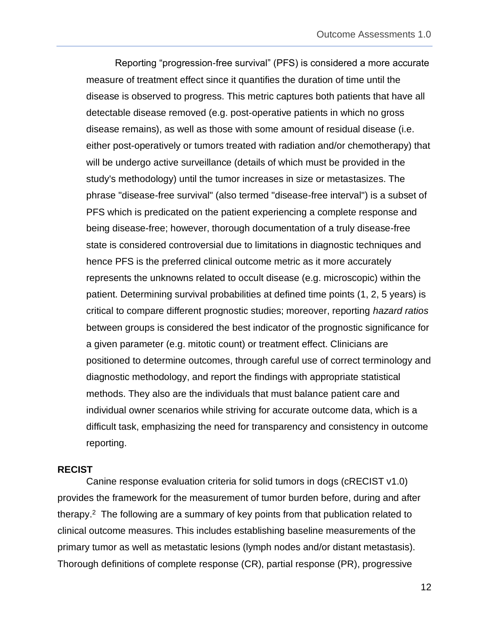Reporting "progression-free survival" (PFS) is considered a more accurate measure of treatment effect since it quantifies the duration of time until the disease is observed to progress. This metric captures both patients that have all detectable disease removed (e.g. post-operative patients in which no gross disease remains), as well as those with some amount of residual disease (i.e. either post-operatively or tumors treated with radiation and/or chemotherapy) that will be undergo active surveillance (details of which must be provided in the study's methodology) until the tumor increases in size or metastasizes. The phrase "disease-free survival" (also termed "disease-free interval") is a subset of PFS which is predicated on the patient experiencing a complete response and being disease-free; however, thorough documentation of a truly disease-free state is considered controversial due to limitations in diagnostic techniques and hence PFS is the preferred clinical outcome metric as it more accurately represents the unknowns related to occult disease (e.g. microscopic) within the patient. Determining survival probabilities at defined time points (1, 2, 5 years) is critical to compare different prognostic studies; moreover, reporting *hazard ratios* between groups is considered the best indicator of the prognostic significance for a given parameter (e.g. mitotic count) or treatment effect. Clinicians are positioned to determine outcomes, through careful use of correct terminology and diagnostic methodology, and report the findings with appropriate statistical methods. They also are the individuals that must balance patient care and individual owner scenarios while striving for accurate outcome data, which is a difficult task, emphasizing the need for transparency and consistency in outcome reporting.

### <span id="page-11-0"></span>**RECIST**

Canine response evaluation criteria for solid tumors in dogs (cRECIST v1.0) provides the framework for the measurement of tumor burden before, during and after therapy.<sup>2</sup> The following are a summary of key points from that publication related to clinical outcome measures. This includes establishing baseline measurements of the primary tumor as well as metastatic lesions (lymph nodes and/or distant metastasis). Thorough definitions of complete response (CR), partial response (PR), progressive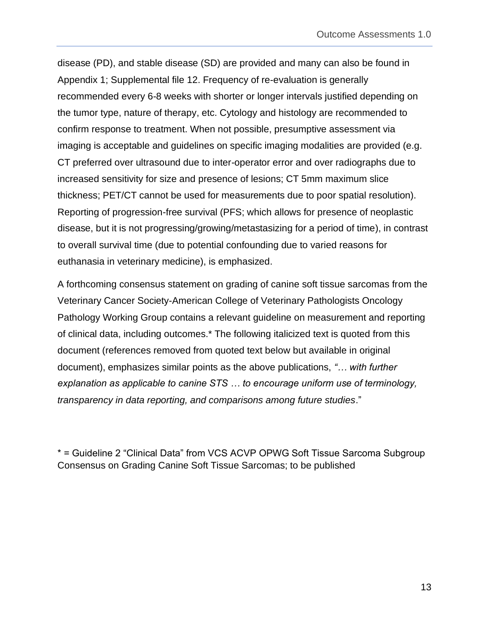disease (PD), and stable disease (SD) are provided and many can also be found in Appendix 1; Supplemental file 12. Frequency of re-evaluation is generally recommended every 6-8 weeks with shorter or longer intervals justified depending on the tumor type, nature of therapy, etc. Cytology and histology are recommended to confirm response to treatment. When not possible, presumptive assessment via imaging is acceptable and guidelines on specific imaging modalities are provided (e.g. CT preferred over ultrasound due to inter-operator error and over radiographs due to increased sensitivity for size and presence of lesions; CT 5mm maximum slice thickness; PET/CT cannot be used for measurements due to poor spatial resolution). Reporting of progression-free survival (PFS; which allows for presence of neoplastic disease, but it is not progressing/growing/metastasizing for a period of time), in contrast to overall survival time (due to potential confounding due to varied reasons for euthanasia in veterinary medicine), is emphasized.

A forthcoming consensus statement on grading of canine soft tissue sarcomas from the Veterinary Cancer Society-American College of Veterinary Pathologists Oncology Pathology Working Group contains a relevant guideline on measurement and reporting of clinical data, including outcomes.\* The following italicized text is quoted from this document (references removed from quoted text below but available in original document), emphasizes similar points as the above publications, *"… with further explanation as applicable to canine STS … to encourage uniform use of terminology, transparency in data reporting, and comparisons among future studies*."

\* = Guideline 2 "Clinical Data" from VCS ACVP OPWG Soft Tissue Sarcoma Subgroup Consensus on Grading Canine Soft Tissue Sarcomas; to be published